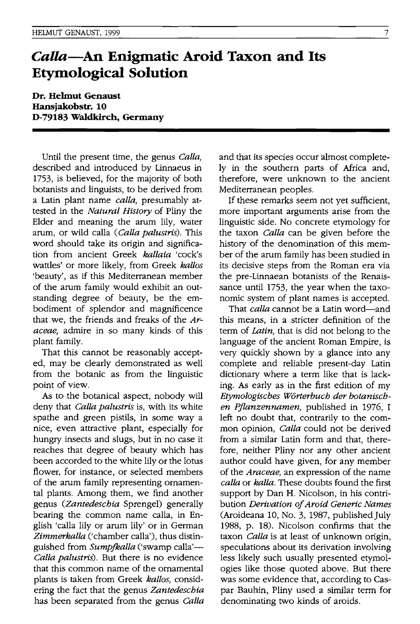## *Calla-An* **Enigmatic Aroid Taxon and Its Etymological Solution**

**Dr. Helmut Genaust Hansiakobstr.** 10 **D-79183 Waldkirch, Germany** 

Until the present time, the genus *Calla,*  described and introduced by Linnaeus in 1753, is believed, for the majority of both botanists and linguists, to be derived from a Latin plant name *calla,* presumably attested in the *Natural History* of Pliny the Elder and meaning the arum lily, water arum, or wild calla *(Calla palustris).* This word should take its origin and signification from ancient Greek *kallaia* 'cock's wattles' or more likely, from Greek *kallos*  'beauty', as if this Mediterranean member of the arum family would exhibit an outstanding degree of beauty, be the embodiment of splendor and magnificence that we, the friends and freaks of the *Araceae,* admire in so many kinds of this plant family.

That this cannot be reasonably accepted, may be clearly demonstrated as well from the botanic as from the linguistic point of view.

As to the botanical aspect, nobody will deny that *Calla palustris* is, with its white spathe and green pistils, in some way a nice, even attractive plant, especially for hungry insects and slugs, but in no case it reaches that degree of beauty which has been accorded to the white lily or the lotus flower, for instance, or selected members of the arum family representing ornamental plants. Among them, we find another genus *(Zantedeschia* Sprengel) generally bearing the common name calla, in English 'calla lily or arum lily' or in German *Zimmerkalla* ('chamber calla'), thus distinguished from *Sumpfkalla* ('swamp calla'-*Calla palustris).* But there is no evidence that this common name of the ornamental plants is taken from Greek *kallos,* considering the fact that the genus *Zantedeschia*  has been separated from the genus *Calla*  and that its species occur almost completely in the southern parts of Africa and, therefore, were unknown to the ancient Mediterranean peoples.

If these remarks seem not yet sufficient, more important arguments arise from the linguistic side. No concrete etymology for the taxon *Calla* can be given before the history of the denomination of this member of the arum family has been studied in its decisive steps from the Roman era via the pre-Linnaean botanists of the Renaissance until 1753, the year when the taxonomic system of plant names is accepted.

That *calla* cannot be a Latin word-and this means, in a stricter definition of the term of *Latin*, that is did not belong to the language of the ancient Roman Empire, is very quickly shown by a glance into any complete and reliable present-day Latin dictionary where a term like that is lacking. As early as in the first edition of my *Etymologisches W6rterbuch der botanischen Pjlanzennamen,* published in 1976, I left no doubt that, contrarily to the common opinion, *Calla* could not be derived from a similar Latin form and that, therefore, neither Pliny nor any other ancient author could have given, for any member of the *Araceae,* an expression of the name *calla* or *kalla.* These doubts found the first support by Dan H. Nicolson, in his contribution *Derivation of Aroid Generic Names*  (Aroideana 10, No.3, 1987, published July 1988, p. 18). Nicolson confirms that the taxon *Calla* is at least of unknown origin, speculations about its derivation involving less likely such usually presented etymologies like those quoted above. But there was some evidence that, according to Caspar Bauhin, Pliny used a similar term for denOminating two kinds of aroids.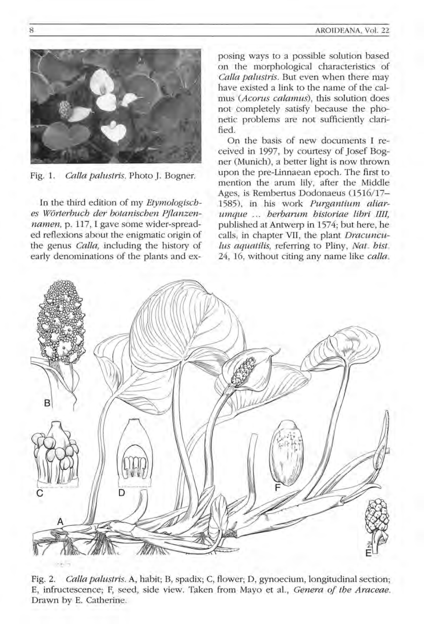

Fig. 1. *Calla palustris.* Photo J. Bogner.

In the third edition of my *Etymologisches W6rterbuch der botanischen Pjlanzennamen,* p. 117, I gave some wider-spreaded reflexions about the enigmatic origin of the genus *Calla,* including the history of early denominations of the plants and ex-

posing ways to a possible solution based on the morphological characteristics of *Calla palustris.* But even when there may have existed a link to the name of the calmus *(Acorus calamus).* this solution does not completely satisfy because the phonetic problems are not sufficiently clarified .

On the basis of new documents I received in 1997, by courtesy of Josef Bogner (Munich), a better light is now thrown upon the pre-Linnaean epoch. The first to mention the arum lily, after the Middle Ages, is Rembertus Dodonaeus (1516/17-1585), in his work *Purgantium aliarumque herbarum historiae libri IIII,*  published at Antwerp in 1574; but here, he calls, in chapter VII, the plant *Dracunculus aquatilis,* referring to Pliny, *Nat. hist.*  24, 16, without citing any name like *calla.* 



Fig. 2. *Calla palustris.* A, habit; B, spadix; C, flower; D, gynoecium, longitudinal section; E, infructescence; F, seed, side view. Taken from Mayo et al., *Genera of the Araceae.*  Drawn by E. Catherine.